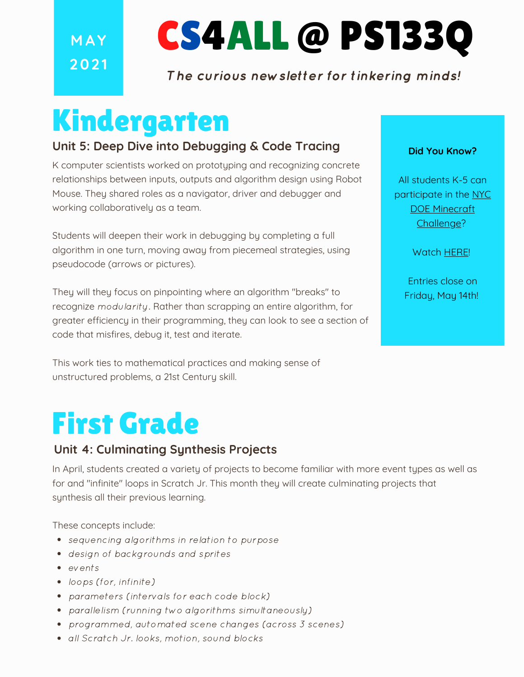**M AY 202 1**

# CS4ALL @ PS133Q

### The curious newsletter for tinkering minds!

## Kindergarten

#### **Unit 5: Deep Dive into Debugging & Code Tracing**

K computer scientists worked on prototyping and recognizing concrete relationships between inputs, outputs and algorithm design using Robot Mouse. They shared roles as a navigator, driver and debugger and working collaboratively as a team.

Students will deepen their work in debugging by completing a full algorithm in one turn, moving away from piecemeal strategies, using pseudocode (arrows or pictures).

They will they focus on pinpointing where an algorithm "breaks" to recognize modularity. Rather than scrapping an entire algorithm, for greater efficiency in their programming, they can look to see a section of code that misfires, debug it, test and iterate.

This work ties to mathematical practices and making sense of unstructured problems, a 21st Century skill.

### First Grade

#### **Unit 4: Culminating Synthesis Projects**

In April, students created a variety of projects to become familiar with more event types as well as for and "infinite" loops in Scratch Jr. This month they will create culminating projects that synthesis all their previous learning.

These concepts include:

- sequencing algorithms in relation to purpose
- design of backgrounds and sprites
- events
- loops (for, infinite)
- parameters (intervals for each code block)
- parallelism (running two algorithms simultaneously)
- programmed, automated scene changes (across 3 scenes)
- all Scratch Jr. looks, motion, sound blocks

#### **Did You Know?**

All students K-5 can participate in the NYC DOE Minecraft [Challenge?](https://www.schools.nyc.gov/learning/subjects/stem/minecraft-education-challenge)

Watch [HERE](https://youtu.be/OL5xLXQFLXk)!

Entries close on Friday, May 14th!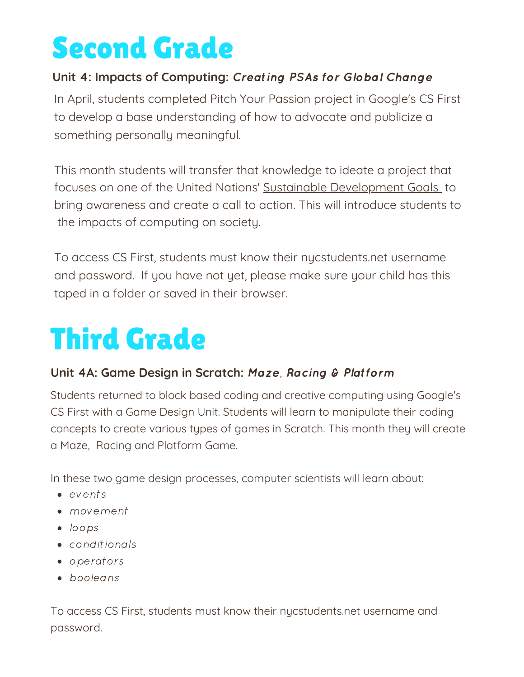# Second Grade

### **Unit 4: Impacts of Computing:** Creating PSAs for Global Change

In April, students completed Pitch Your Passion project in Google's CS First to develop a base understanding of how to advocate and publicize a something personally meaningful.

This month students will transfer that knowledge to ideate a project that focuses on one of the United Nations' Sustainable [Development](https://sdgs.un.org/goals) Goals to bring awareness and create a call to action. This will introduce students to the impacts of computing on society.

To access CS First, students must know their nycstudents.net username and password. If you have not yet, please make sure your child has this taped in a folder or saved in their browser.

# Third Grade

#### **Unit 4A: Game Design in Scratch:** Maze, Racing & Platform

Students returned to block based coding and creative computing using Google's CS First with a Game Design Unit. Students will learn to manipulate their coding concepts to create various types of games in Scratch. This month they will create a Maze, Racing and Platform Game.

In these two game design processes, computer scientists will learn about:

- events
- movement
- loops
- conditionals
- operators
- booleans

To access CS First, students must know their nycstudents.net username and password.